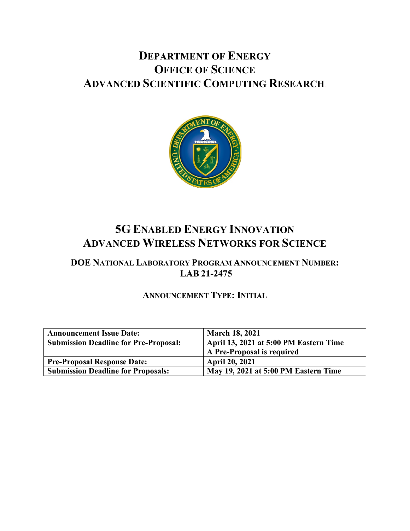# **DEPARTMENT OF ENERGY OFFICE OF SCIENCE ADVANCED SCIENTIFIC COMPUTING RESEARCH***.*



# **5G ENABLED ENERGY INNOVATION ADVANCED WIRELESS NETWORKS FOR SCIENCE**

# **DOE NATIONAL LABORATORY PROGRAM ANNOUNCEMENT NUMBER: LAB 21-2475**

# **ANNOUNCEMENT TYPE: INITIAL**

| <b>Announcement Issue Date:</b>              | <b>March 18, 2021</b>                  |
|----------------------------------------------|----------------------------------------|
| <b>Submission Deadline for Pre-Proposal:</b> | April 13, 2021 at 5:00 PM Eastern Time |
|                                              | A Pre-Proposal is required             |
| <b>Pre-Proposal Response Date:</b>           | <b>April 20, 2021</b>                  |
| <b>Submission Deadline for Proposals:</b>    | May 19, 2021 at 5:00 PM Eastern Time   |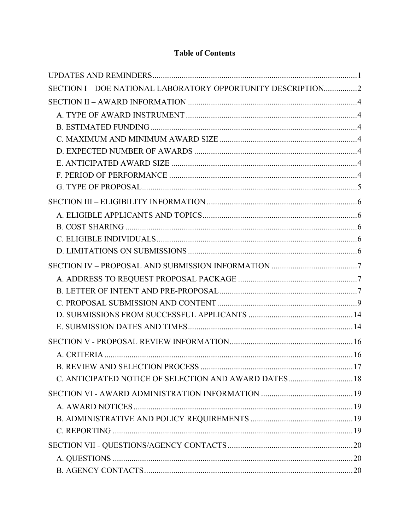# **Table of Contents**

| SECTION I - DOE NATIONAL LABORATORY OPPORTUNITY DESCRIPTION2 |  |
|--------------------------------------------------------------|--|
|                                                              |  |
|                                                              |  |
|                                                              |  |
|                                                              |  |
|                                                              |  |
|                                                              |  |
|                                                              |  |
|                                                              |  |
|                                                              |  |
|                                                              |  |
|                                                              |  |
|                                                              |  |
|                                                              |  |
|                                                              |  |
|                                                              |  |
|                                                              |  |
|                                                              |  |
|                                                              |  |
|                                                              |  |
|                                                              |  |
|                                                              |  |
|                                                              |  |
| C. ANTICIPATED NOTICE OF SELECTION AND AWARD DATES 18        |  |
|                                                              |  |
|                                                              |  |
|                                                              |  |
|                                                              |  |
|                                                              |  |
|                                                              |  |
|                                                              |  |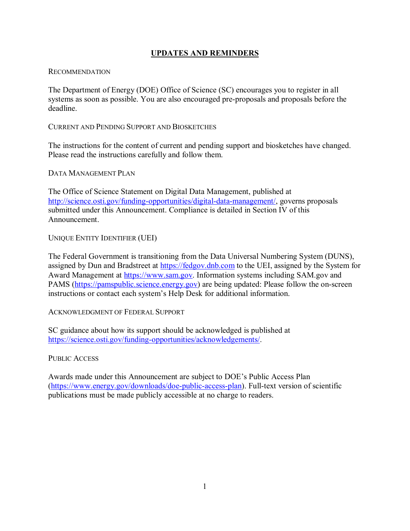## **UPDATES AND REMINDERS**

#### <span id="page-3-0"></span>RECOMMENDATION

The Department of Energy (DOE) Office of Science (SC) encourages you to register in all systems as soon as possible. You are also encouraged pre-proposals and proposals before the deadline.

## CURRENT AND PENDING SUPPORT AND BIOSKETCHES

The instructions for the content of current and pending support and biosketches have changed. Please read the instructions carefully and follow them.

DATA MANAGEMENT PLAN

The Office of Science Statement on Digital Data Management, published at [http://science.osti.gov/funding-opportunities/digital-data-management/,](http://science.osti.gov/funding-opportunities/digital-data-management/) governs proposals submitted under this Announcement. Compliance is detailed in Section IV of this Announcement.

## UNIQUE ENTITY IDENTIFIER (UEI)

The Federal Government is transitioning from the Data Universal Numbering System (DUNS), assigned by Dun and Bradstreet at [https://fedgov.dnb.com](https://fedgov.dnb.com/) to the UEI, assigned by the System for Award Management at [https://www.sam.gov.](https://www.sam.gov/) Information systems including SAM.gov and PAMS [\(https://pamspublic.science.energy.gov\)](https://pamspublic.science.energy.gov/) are being updated: Please follow the on-screen instructions or contact each system's Help Desk for additional information.

ACKNOWLEDGMENT OF FEDERAL SUPPORT

SC guidance about how its support should be acknowledged is published at [https://science.osti.gov/funding-opportunities/acknowledgements/.](https://science.osti.gov/funding-opportunities/acknowledgements/)

PUBLIC ACCESS

Awards made under this Announcement are subject to DOE's Public Access Plan [\(https://www.energy.gov/downloads/doe-public-access-plan\)](https://www.energy.gov/downloads/doe-public-access-plan). Full-text version of scientific publications must be made publicly accessible at no charge to readers.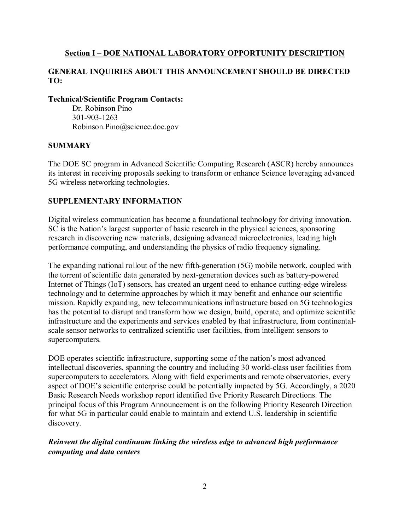#### <span id="page-4-0"></span>**Section I – DOE NATIONAL LABORATORY OPPORTUNITY DESCRIPTION**

## **GENERAL INQUIRIES ABOUT THIS ANNOUNCEMENT SHOULD BE DIRECTED TO:**

#### **Technical/Scientific Program Contacts:**

Dr. Robinson Pino 301-903-1263 Robinson.Pino@science.doe.gov

#### **SUMMARY**

The DOE SC program in Advanced Scientific Computing Research (ASCR) hereby announces its interest in receiving proposals seeking to transform or enhance Science leveraging advanced 5G wireless networking technologies.

## **SUPPLEMENTARY INFORMATION**

Digital wireless communication has become a foundational technology for driving innovation. SC is the Nation's largest supporter of basic research in the physical sciences, sponsoring research in discovering new materials, designing advanced microelectronics, leading high performance computing, and understanding the physics of radio frequency signaling.

The expanding national rollout of the new fifth-generation (5G) mobile network, coupled with the torrent of scientific data generated by next-generation devices such as battery-powered Internet of Things (IoT) sensors, has created an urgent need to enhance cutting-edge wireless technology and to determine approaches by which it may benefit and enhance our scientific mission. Rapidly expanding, new telecommunications infrastructure based on 5G technologies has the potential to disrupt and transform how we design, build, operate, and optimize scientific infrastructure and the experiments and services enabled by that infrastructure, from continentalscale sensor networks to centralized scientific user facilities, from intelligent sensors to supercomputers.

DOE operates scientific infrastructure, supporting some of the nation's most advanced intellectual discoveries, spanning the country and including 30 world-class user facilities from supercomputers to accelerators. Along with field experiments and remote observatories, every aspect of DOE's scientific enterprise could be potentially impacted by 5G. Accordingly, a 2020 Basic Research Needs workshop report identified five Priority Research Directions. The principal focus of this Program Announcement is on the following Priority Research Direction for what 5G in particular could enable to maintain and extend U.S. leadership in scientific discovery.

## *Reinvent the digital continuum linking the wireless edge to advanced high performance computing and data centers*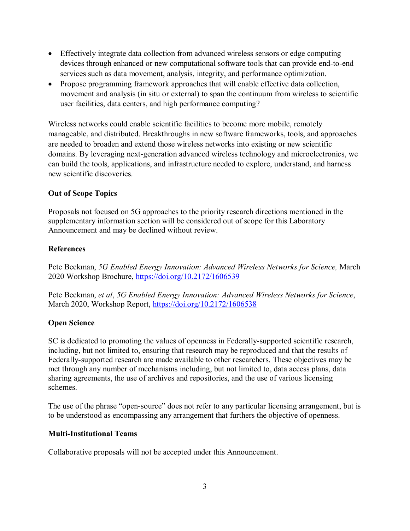- Effectively integrate data collection from advanced wireless sensors or edge computing devices through enhanced or new computational software tools that can provide end-to-end services such as data movement, analysis, integrity, and performance optimization.
- Propose programming framework approaches that will enable effective data collection, movement and analysis (in situ or external) to span the continuum from wireless to scientific user facilities, data centers, and high performance computing?

Wireless networks could enable scientific facilities to become more mobile, remotely manageable, and distributed. Breakthroughs in new software frameworks, tools, and approaches are needed to broaden and extend those wireless networks into existing or new scientific domains. By leveraging next-generation advanced wireless technology and microelectronics, we can build the tools, applications, and infrastructure needed to explore, understand, and harness new scientific discoveries.

## **Out of Scope Topics**

Proposals not focused on 5G approaches to the priority research directions mentioned in the supplementary information section will be considered out of scope for this Laboratory Announcement and may be declined without review.

## **References**

Pete Beckman, *5G Enabled Energy Innovation: Advanced Wireless Networks for Science,* March 2020 Workshop Brochure,<https://doi.org/10.2172/1606539>

Pete Beckman, *et al*, *5G Enabled Energy Innovation: Advanced Wireless Networks for Science*, March 2020, Workshop Report, <https://doi.org/10.2172/1606538>

## **Open Science**

SC is dedicated to promoting the values of openness in Federally-supported scientific research, including, but not limited to, ensuring that research may be reproduced and that the results of Federally-supported research are made available to other researchers. These objectives may be met through any number of mechanisms including, but not limited to, data access plans, data sharing agreements, the use of archives and repositories, and the use of various licensing schemes.

The use of the phrase "open-source" does not refer to any particular licensing arrangement, but is to be understood as encompassing any arrangement that furthers the objective of openness.

#### **Multi-Institutional Teams**

Collaborative proposals will not be accepted under this Announcement.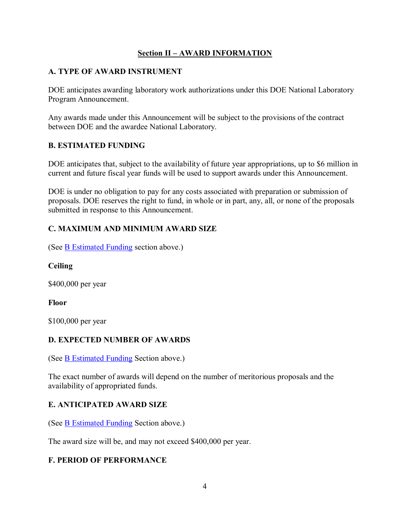# **Section II – AWARD INFORMATION**

# <span id="page-6-1"></span><span id="page-6-0"></span>**A. TYPE OF AWARD INSTRUMENT**

DOE anticipates awarding laboratory work authorizations under this DOE National Laboratory Program Announcement.

Any awards made under this Announcement will be subject to the provisions of the contract between DOE and the awardee National Laboratory.

# <span id="page-6-2"></span>**B. ESTIMATED FUNDING**

DOE anticipates that, subject to the availability of future year appropriations, up to \$6 million in current and future fiscal year funds will be used to support awards under this Announcement.

DOE is under no obligation to pay for any costs associated with preparation or submission of proposals. DOE reserves the right to fund, in whole or in part, any, all, or none of the proposals submitted in response to this Announcement.

# <span id="page-6-3"></span>**C. MAXIMUM AND MINIMUM AWARD SIZE**

(See [B Estimated Funding](#page-6-2) section above.)

**Ceiling**

\$400,000 per year

**Floor**

\$100,000 per year

# <span id="page-6-4"></span>**D. EXPECTED NUMBER OF AWARDS**

(See [B Estimated Funding](#page-6-2) Section above.)

The exact number of awards will depend on the number of meritorious proposals and the availability of appropriated funds.

# <span id="page-6-5"></span>**E. ANTICIPATED AWARD SIZE**

(See [B Estimated Funding](#page-6-2) Section above.)

The award size will be, and may not exceed \$400,000 per year.

## <span id="page-6-6"></span>**F. PERIOD OF PERFORMANCE**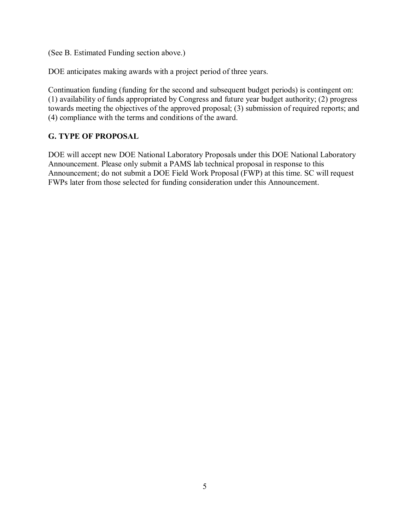(See B. Estimated Funding section above.)

DOE anticipates making awards with a project period of three years.

Continuation funding (funding for the second and subsequent budget periods) is contingent on: (1) availability of funds appropriated by Congress and future year budget authority; (2) progress towards meeting the objectives of the approved proposal; (3) submission of required reports; and (4) compliance with the terms and conditions of the award.

# <span id="page-7-0"></span>**G. TYPE OF PROPOSAL**

DOE will accept new DOE National Laboratory Proposals under this DOE National Laboratory Announcement. Please only submit a PAMS lab technical proposal in response to this Announcement; do not submit a DOE Field Work Proposal (FWP) at this time. SC will request FWPs later from those selected for funding consideration under this Announcement.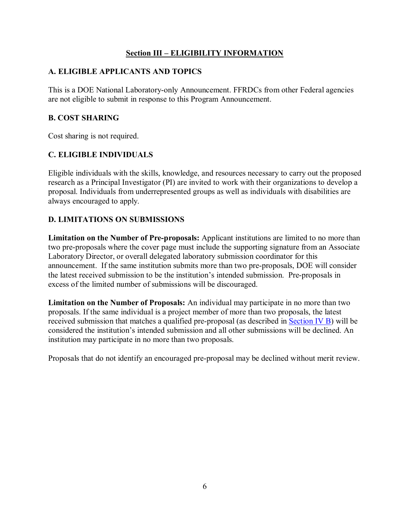## **Section III – ELIGIBILITY INFORMATION**

## <span id="page-8-1"></span><span id="page-8-0"></span>**A. ELIGIBLE APPLICANTS AND TOPICS**

This is a DOE National Laboratory-only Announcement. FFRDCs from other Federal agencies are not eligible to submit in response to this Program Announcement.

#### <span id="page-8-2"></span>**B. COST SHARING**

Cost sharing is not required.

## <span id="page-8-3"></span>**C. ELIGIBLE INDIVIDUALS**

Eligible individuals with the skills, knowledge, and resources necessary to carry out the proposed research as a Principal Investigator (PI) are invited to work with their organizations to develop a proposal. Individuals from underrepresented groups as well as individuals with disabilities are always encouraged to apply.

# <span id="page-8-4"></span>**D. LIMITATIONS ON SUBMISSIONS**

**Limitation on the Number of Pre-proposals:** Applicant institutions are limited to no more than two pre-proposals where the cover page must include the supporting signature from an Associate Laboratory Director, or overall delegated laboratory submission coordinator for this announcement. If the same institution submits more than two pre-proposals, DOE will consider the latest received submission to be the institution's intended submission. Pre-proposals in excess of the limited number of submissions will be discouraged.

**Limitation on the Number of Proposals:** An individual may participate in no more than two proposals. If the same individual is a project member of more than two proposals, the latest received submission that matches a qualified pre-proposal (as described in [Section IV B\)](#page-9-2) will be considered the institution's intended submission and all other submissions will be declined. An institution may participate in no more than two proposals.

Proposals that do not identify an encouraged pre-proposal may be declined without merit review.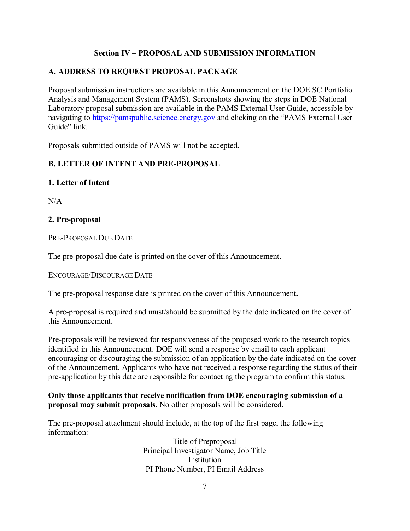# **Section IV – PROPOSAL AND SUBMISSION INFORMATION**

# <span id="page-9-1"></span><span id="page-9-0"></span>**A. ADDRESS TO REQUEST PROPOSAL PACKAGE**

Proposal submission instructions are available in this Announcement on the DOE SC Portfolio Analysis and Management System (PAMS). Screenshots showing the steps in DOE National Laboratory proposal submission are available in the PAMS External User Guide, accessible by navigating to [https://pamspublic.science.energy.gov](https://pamspublic.science.energy.gov/) and clicking on the "PAMS External User Guide" link.

Proposals submitted outside of PAMS will not be accepted.

# <span id="page-9-2"></span>**B. LETTER OF INTENT AND PRE-PROPOSAL**

## **1. Letter of Intent**

 $N/A$ 

## **2. Pre-proposal**

PRE-PROPOSAL DUE DATE

The pre-proposal due date is printed on the cover of this Announcement.

ENCOURAGE/DISCOURAGE DATE

The pre-proposal response date is printed on the cover of this Announcement**.**

A pre-proposal is required and must/should be submitted by the date indicated on the cover of this Announcement.

Pre-proposals will be reviewed for responsiveness of the proposed work to the research topics identified in this Announcement. DOE will send a response by email to each applicant encouraging or discouraging the submission of an application by the date indicated on the cover of the Announcement. Applicants who have not received a response regarding the status of their pre-application by this date are responsible for contacting the program to confirm this status.

## **Only those applicants that receive notification from DOE encouraging submission of a proposal may submit proposals.** No other proposals will be considered.

The pre-proposal attachment should include, at the top of the first page, the following information:

> Title of Preproposal Principal Investigator Name, Job Title Institution PI Phone Number, PI Email Address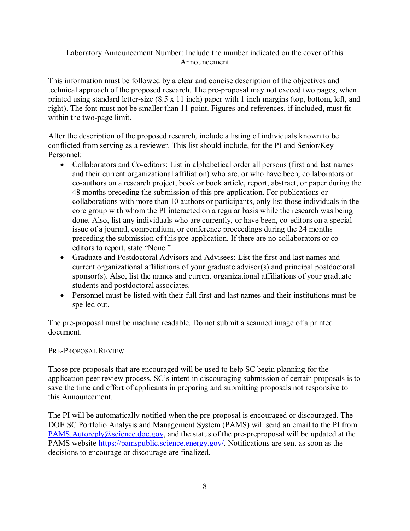## Laboratory Announcement Number: Include the number indicated on the cover of this Announcement

This information must be followed by a clear and concise description of the objectives and technical approach of the proposed research. The pre-proposal may not exceed two pages, when printed using standard letter-size (8.5 x 11 inch) paper with 1 inch margins (top, bottom, left, and right). The font must not be smaller than 11 point. Figures and references, if included, must fit within the two-page limit.

After the description of the proposed research, include a listing of individuals known to be conflicted from serving as a reviewer. This list should include, for the PI and Senior/Key Personnel:

- Collaborators and Co-editors: List in alphabetical order all persons (first and last names and their current organizational affiliation) who are, or who have been, collaborators or co-authors on a research project, book or book article, report, abstract, or paper during the 48 months preceding the submission of this pre-application. For publications or collaborations with more than 10 authors or participants, only list those individuals in the core group with whom the PI interacted on a regular basis while the research was being done. Also, list any individuals who are currently, or have been, co-editors on a special issue of a journal, compendium, or conference proceedings during the 24 months preceding the submission of this pre-application. If there are no collaborators or coeditors to report, state "None."
- Graduate and Postdoctoral Advisors and Advisees: List the first and last names and current organizational affiliations of your graduate advisor(s) and principal postdoctoral sponsor(s). Also, list the names and current organizational affiliations of your graduate students and postdoctoral associates.
- Personnel must be listed with their full first and last names and their institutions must be spelled out.

The pre-proposal must be machine readable. Do not submit a scanned image of a printed document.

#### PRE-PROPOSAL REVIEW

Those pre-proposals that are encouraged will be used to help SC begin planning for the application peer review process. SC's intent in discouraging submission of certain proposals is to save the time and effort of applicants in preparing and submitting proposals not responsive to this Announcement.

The PI will be automatically notified when the pre-proposal is encouraged or discouraged. The DOE SC Portfolio Analysis and Management System (PAMS) will send an email to the PI from PAMS. Autoreply@science.doe.gov, and the status of the pre-preproposal will be updated at the PAMS website [https://pamspublic.science.energy.gov/.](https://pamspublic.science.energy.gov/) Notifications are sent as soon as the decisions to encourage or discourage are finalized.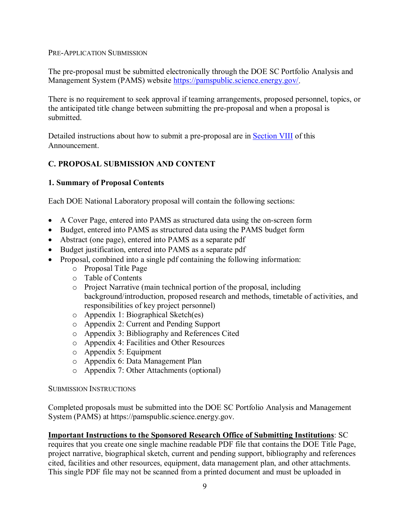#### PRE-APPLICATION SUBMISSION

The pre-proposal must be submitted electronically through the DOE SC Portfolio Analysis and Management System (PAMS) website [https://pamspublic.science.energy.gov/.](https://pamspublic.science.energy.gov/)

There is no requirement to seek approval if teaming arrangements, proposed personnel, topics, or the anticipated title change between submitting the pre-proposal and when a proposal is submitted.

Detailed instructions about how to submit a pre-proposal are in **Section VIII** of this Announcement.

## <span id="page-11-0"></span>**C. PROPOSAL SUBMISSION AND CONTENT**

#### **1. Summary of Proposal Contents**

Each DOE National Laboratory proposal will contain the following sections:

- A Cover Page, entered into PAMS as structured data using the on-screen form
- Budget, entered into PAMS as structured data using the PAMS budget form
- Abstract (one page), entered into PAMS as a separate pdf
- Budget justification, entered into PAMS as a separate pdf
- Proposal, combined into a single pdf containing the following information:
	- o Proposal Title Page
	- o Table of Contents
	- o Project Narrative (main technical portion of the proposal, including background/introduction, proposed research and methods, timetable of activities, and responsibilities of key project personnel)
	- o Appendix 1: Biographical Sketch(es)
	- o Appendix 2: Current and Pending Support
	- o Appendix 3: Bibliography and References Cited
	- o Appendix 4: Facilities and Other Resources
	- o Appendix 5: Equipment
	- o Appendix 6: Data Management Plan
	- o Appendix 7: Other Attachments (optional)

#### SUBMISSION INSTRUCTIONS

Completed proposals must be submitted into the DOE SC Portfolio Analysis and Management System (PAMS) at https://pamspublic.science.energy.gov.

#### **Important Instructions to the Sponsored Research Office of Submitting Institutions**: SC

requires that you create one single machine readable PDF file that contains the DOE Title Page, project narrative, biographical sketch, current and pending support, bibliography and references cited, facilities and other resources, equipment, data management plan, and other attachments. This single PDF file may not be scanned from a printed document and must be uploaded in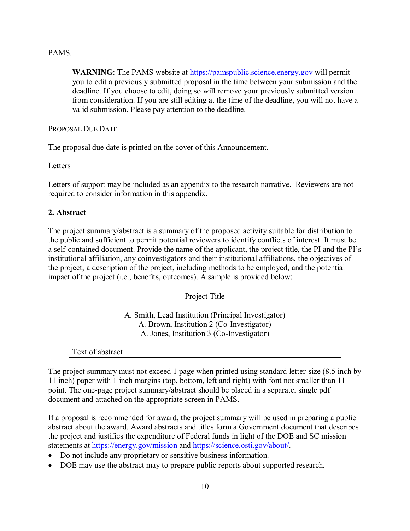#### PAMS.

**WARNING**: The PAMS website at [https://pamspublic.science.energy.gov](https://pamspublic.science.energy.gov/) will permit you to edit a previously submitted proposal in the time between your submission and the deadline. If you choose to edit, doing so will remove your previously submitted version from consideration. If you are still editing at the time of the deadline, you will not have a valid submission. Please pay attention to the deadline.

PROPOSAL DUE DATE

The proposal due date is printed on the cover of this Announcement.

Letters

Letters of support may be included as an appendix to the research narrative. Reviewers are not required to consider information in this appendix.

#### **2. Abstract**

The project summary/abstract is a summary of the proposed activity suitable for distribution to the public and sufficient to permit potential reviewers to identify conflicts of interest. It must be a self-contained document. Provide the name of the applicant, the project title, the PI and the PI's institutional affiliation, any coinvestigators and their institutional affiliations, the objectives of the project, a description of the project, including methods to be employed, and the potential impact of the project (i.e., benefits, outcomes). A sample is provided below:

Project Title A. Smith, Lead Institution (Principal Investigator) A. Brown, Institution 2 (Co-Investigator) A. Jones, Institution 3 (Co-Investigator) Text of abstract

The project summary must not exceed 1 page when printed using standard letter-size (8.5 inch by 11 inch) paper with 1 inch margins (top, bottom, left and right) with font not smaller than 11 point. The one-page project summary/abstract should be placed in a separate, single pdf document and attached on the appropriate screen in PAMS.

If a proposal is recommended for award, the project summary will be used in preparing a public abstract about the award. Award abstracts and titles form a Government document that describes the project and justifies the expenditure of Federal funds in light of the DOE and SC mission statements at<https://energy.gov/mission> and [https://science.osti.gov/about/.](https://science.osti.gov/about/)

- Do not include any proprietary or sensitive business information.
- DOE may use the abstract may to prepare public reports about supported research.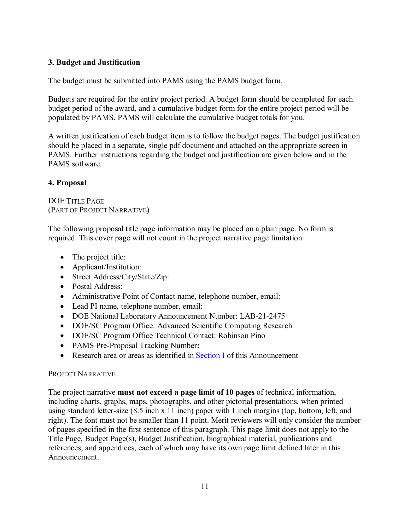## **3. Budget and Justification**

The budget must be submitted into PAMS using the PAMS budget form.

Budgets are required for the entire project period. A budget form should be completed for each budget period of the award, and a cumulative budget form for the entire project period will be populated by PAMS. PAMS will calculate the cumulative budget totals for you.

A written justification of each budget item is to follow the budget pages. The budget justification should be placed in a separate, single pdf document and attached on the appropriate screen in PAMS. Further instructions regarding the budget and justification are given below and in the PAMS software.

## **4. Proposal**

DOE TITLE PAGE (PART OF PROJECT NARRATIVE)

The following proposal title page information may be placed on a plain page. No form is required. This cover page will not count in the project narrative page limitation.

- The project title:
- Applicant/Institution:
- Street Address/City/State/Zip:
- Postal Address:
- Administrative Point of Contact name, telephone number, email:
- Lead PI name, telephone number, email:
- DOE National Laboratory Announcement Number: LAB-21-2475
- DOE/SC Program Office: Advanced Scientific Computing Research
- DOE/SC Program Office Technical Contact: Robinson Pino
- PAMS Pre-Proposal Tracking Number**:**
- Research area or areas as identified in [Section I](#page-4-0) of this Announcement

#### PROJECT NARRATIVE

The project narrative **must not exceed a page limit of 10 pages** of technical information, including charts, graphs, maps, photographs, and other pictorial presentations, when printed using standard letter-size (8.5 inch x 11 inch) paper with 1 inch margins (top, bottom, left, and right). The font must not be smaller than 11 point. Merit reviewers will only consider the number of pages specified in the first sentence of this paragraph. This page limit does not apply to the Title Page, Budget Page(s), Budget Justification, biographical material, publications and references, and appendices, each of which may have its own page limit defined later in this Announcement.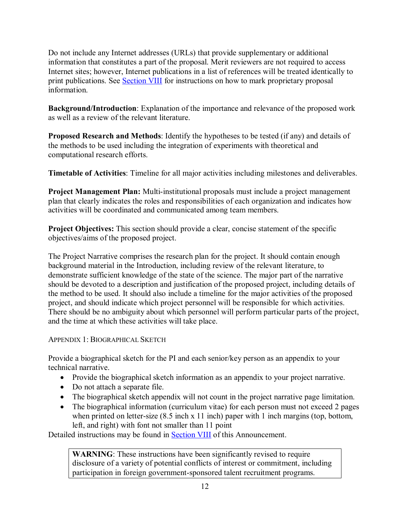Do not include any Internet addresses (URLs) that provide supplementary or additional information that constitutes a part of the proposal. Merit reviewers are not required to access Internet sites; however, Internet publications in a list of references will be treated identically to print publications. See [Section VIII](#page-23-0) for instructions on how to mark proprietary proposal information.

**Background/Introduction**: Explanation of the importance and relevance of the proposed work as well as a review of the relevant literature.

**Proposed Research and Methods**: Identify the hypotheses to be tested (if any) and details of the methods to be used including the integration of experiments with theoretical and computational research efforts.

**Timetable of Activities**: Timeline for all major activities including milestones and deliverables.

**Project Management Plan:** Multi-institutional proposals must include a project management plan that clearly indicates the roles and responsibilities of each organization and indicates how activities will be coordinated and communicated among team members.

**Project Objectives:** This section should provide a clear, concise statement of the specific objectives/aims of the proposed project.

The Project Narrative comprises the research plan for the project. It should contain enough background material in the Introduction, including review of the relevant literature, to demonstrate sufficient knowledge of the state of the science. The major part of the narrative should be devoted to a description and justification of the proposed project, including details of the method to be used. It should also include a timeline for the major activities of the proposed project, and should indicate which project personnel will be responsible for which activities. There should be no ambiguity about which personnel will perform particular parts of the project, and the time at which these activities will take place.

APPENDIX 1: BIOGRAPHICAL SKETCH

Provide a biographical sketch for the PI and each senior/key person as an appendix to your technical narrative.

- Provide the biographical sketch information as an appendix to your project narrative.
- Do not attach a separate file.
- The biographical sketch appendix will not count in the project narrative page limitation.
- The biographical information (curriculum vitae) for each person must not exceed 2 pages when printed on letter-size (8.5 inch x 11 inch) paper with 1 inch margins (top, bottom, left, and right) with font not smaller than 11 point

Detailed instructions may be found in [Section VIII](#page-27-0) of this Announcement.

**WARNING**: These instructions have been significantly revised to require disclosure of a variety of potential conflicts of interest or commitment, including participation in foreign government-sponsored talent recruitment programs.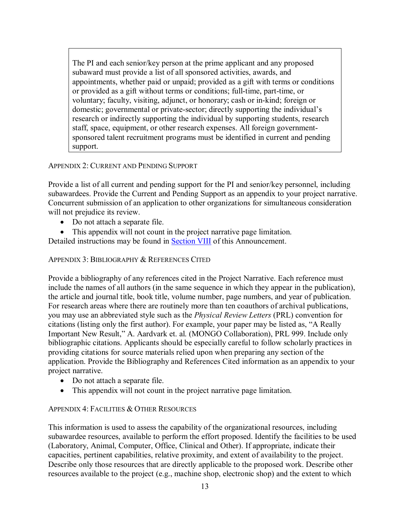The PI and each senior/key person at the prime applicant and any proposed subaward must provide a list of all sponsored activities, awards, and appointments, whether paid or unpaid; provided as a gift with terms or conditions or provided as a gift without terms or conditions; full-time, part-time, or voluntary; faculty, visiting, adjunct, or honorary; cash or in-kind; foreign or domestic; governmental or private-sector; directly supporting the individual's research or indirectly supporting the individual by supporting students, research staff, space, equipment, or other research expenses. All foreign governmentsponsored talent recruitment programs must be identified in current and pending support.

#### APPENDIX 2: CURRENT AND PENDING SUPPORT

Provide a list of all current and pending support for the PI and senior/key personnel, including subawardees. Provide the Current and Pending Support as an appendix to your project narrative. Concurrent submission of an application to other organizations for simultaneous consideration will not prejudice its review.

- Do not attach a separate file.
- This appendix will not count in the project narrative page limitation.

Detailed instructions may be found in [Section VIII](#page-28-0) of this Announcement.

#### APPENDIX 3: BIBLIOGRAPHY & REFERENCES CITED

Provide a bibliography of any references cited in the Project Narrative. Each reference must include the names of all authors (in the same sequence in which they appear in the publication), the article and journal title, book title, volume number, page numbers, and year of publication. For research areas where there are routinely more than ten coauthors of archival publications, you may use an abbreviated style such as the *Physical Review Letters* (PRL) convention for citations (listing only the first author). For example, your paper may be listed as, "A Really Important New Result," A. Aardvark et. al. (MONGO Collaboration), PRL 999. Include only bibliographic citations. Applicants should be especially careful to follow scholarly practices in providing citations for source materials relied upon when preparing any section of the application. Provide the Bibliography and References Cited information as an appendix to your project narrative.

- Do not attach a separate file.
- This appendix will not count in the project narrative page limitation.

#### APPENDIX 4: FACILITIES & OTHER RESOURCES

This information is used to assess the capability of the organizational resources, including subawardee resources, available to perform the effort proposed. Identify the facilities to be used (Laboratory, Animal, Computer, Office, Clinical and Other). If appropriate, indicate their capacities, pertinent capabilities, relative proximity, and extent of availability to the project. Describe only those resources that are directly applicable to the proposed work. Describe other resources available to the project (e.g., machine shop, electronic shop) and the extent to which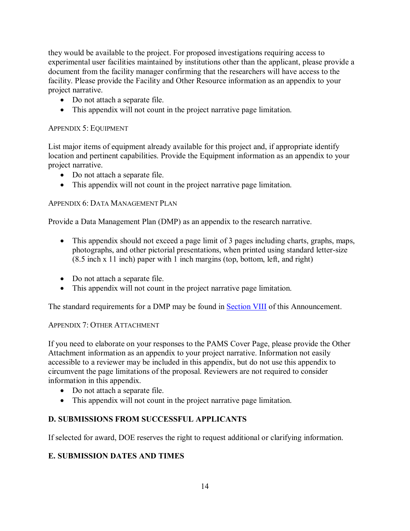they would be available to the project. For proposed investigations requiring access to experimental user facilities maintained by institutions other than the applicant, please provide a document from the facility manager confirming that the researchers will have access to the facility. Please provide the Facility and Other Resource information as an appendix to your project narrative.

- Do not attach a separate file.
- This appendix will not count in the project narrative page limitation.

## APPENDIX 5: EQUIPMENT

List major items of equipment already available for this project and, if appropriate identify location and pertinent capabilities. Provide the Equipment information as an appendix to your project narrative.

- Do not attach a separate file.
- This appendix will not count in the project narrative page limitation.

## APPENDIX 6: DATA MANAGEMENT PLAN

Provide a Data Management Plan (DMP) as an appendix to the research narrative.

- This appendix should not exceed a page limit of 3 pages including charts, graphs, maps, photographs, and other pictorial presentations, when printed using standard letter-size (8.5 inch x 11 inch) paper with 1 inch margins (top, bottom, left, and right)
- Do not attach a separate file.
- This appendix will not count in the project narrative page limitation.

The standard requirements for a DMP may be found in [Section VIII](#page-29-0) of this Announcement.

#### APPENDIX 7: OTHER ATTACHMENT

If you need to elaborate on your responses to the PAMS Cover Page, please provide the Other Attachment information as an appendix to your project narrative. Information not easily accessible to a reviewer may be included in this appendix, but do not use this appendix to circumvent the page limitations of the proposal. Reviewers are not required to consider information in this appendix.

- Do not attach a separate file.
- This appendix will not count in the project narrative page limitation.

## <span id="page-16-0"></span>**D. SUBMISSIONS FROM SUCCESSFUL APPLICANTS**

If selected for award, DOE reserves the right to request additional or clarifying information.

# <span id="page-16-1"></span>**E. SUBMISSION DATES AND TIMES**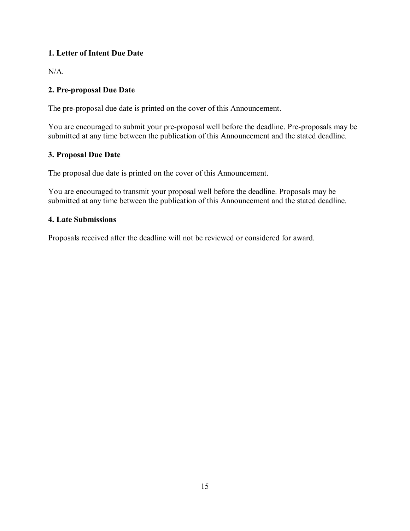# **1. Letter of Intent Due Date**

N/A.

# **2. Pre-proposal Due Date**

The pre-proposal due date is printed on the cover of this Announcement.

You are encouraged to submit your pre-proposal well before the deadline. Pre-proposals may be submitted at any time between the publication of this Announcement and the stated deadline.

## **3. Proposal Due Date**

The proposal due date is printed on the cover of this Announcement.

You are encouraged to transmit your proposal well before the deadline. Proposals may be submitted at any time between the publication of this Announcement and the stated deadline.

## **4. Late Submissions**

Proposals received after the deadline will not be reviewed or considered for award.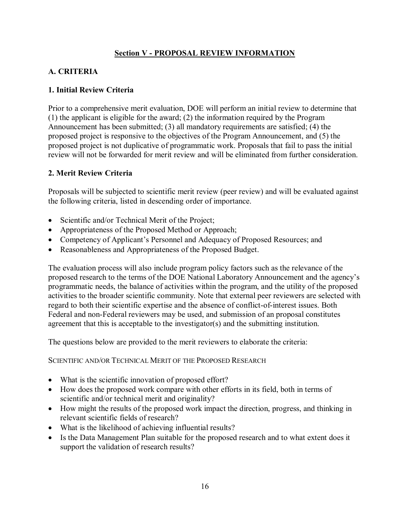# **Section V - PROPOSAL REVIEW INFORMATION**

# <span id="page-18-1"></span><span id="page-18-0"></span>**A. CRITERIA**

## **1. Initial Review Criteria**

Prior to a comprehensive merit evaluation, DOE will perform an initial review to determine that (1) the applicant is eligible for the award; (2) the information required by the Program Announcement has been submitted; (3) all mandatory requirements are satisfied; (4) the proposed project is responsive to the objectives of the Program Announcement, and (5) the proposed project is not duplicative of programmatic work. Proposals that fail to pass the initial review will not be forwarded for merit review and will be eliminated from further consideration.

## **2. Merit Review Criteria**

Proposals will be subjected to scientific merit review (peer review) and will be evaluated against the following criteria, listed in descending order of importance.

- Scientific and/or Technical Merit of the Project;
- Appropriateness of the Proposed Method or Approach;
- Competency of Applicant's Personnel and Adequacy of Proposed Resources; and
- Reasonableness and Appropriateness of the Proposed Budget.

The evaluation process will also include program policy factors such as the relevance of the proposed research to the terms of the DOE National Laboratory Announcement and the agency's programmatic needs, the balance of activities within the program, and the utility of the proposed activities to the broader scientific community. Note that external peer reviewers are selected with regard to both their scientific expertise and the absence of conflict-of-interest issues. Both Federal and non-Federal reviewers may be used, and submission of an proposal constitutes agreement that this is acceptable to the investigator(s) and the submitting institution.

The questions below are provided to the merit reviewers to elaborate the criteria:

SCIENTIFIC AND/OR TECHNICAL MERIT OF THE PROPOSED RESEARCH

- What is the scientific innovation of proposed effort?
- How does the proposed work compare with other efforts in its field, both in terms of scientific and/or technical merit and originality?
- How might the results of the proposed work impact the direction, progress, and thinking in relevant scientific fields of research?
- What is the likelihood of achieving influential results?
- Is the Data Management Plan suitable for the proposed research and to what extent does it support the validation of research results?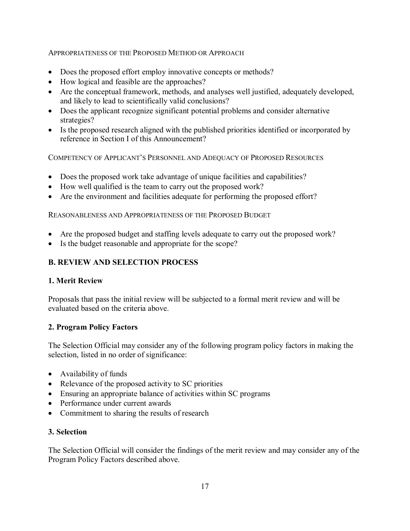## APPROPRIATENESS OF THE PROPOSED METHOD OR APPROACH

- Does the proposed effort employ innovative concepts or methods?
- How logical and feasible are the approaches?
- Are the conceptual framework, methods, and analyses well justified, adequately developed, and likely to lead to scientifically valid conclusions?
- Does the applicant recognize significant potential problems and consider alternative strategies?
- Is the proposed research aligned with the published priorities identified or incorporated by reference in Section I of this Announcement?

COMPETENCY OF APPLICANT'S PERSONNEL AND ADEQUACY OF PROPOSED RESOURCES

- Does the proposed work take advantage of unique facilities and capabilities?
- How well qualified is the team to carry out the proposed work?
- Are the environment and facilities adequate for performing the proposed effort?

REASONABLENESS AND APPROPRIATENESS OF THE PROPOSED BUDGET

- Are the proposed budget and staffing levels adequate to carry out the proposed work?
- Is the budget reasonable and appropriate for the scope?

# <span id="page-19-0"></span>**B. REVIEW AND SELECTION PROCESS**

## **1. Merit Review**

Proposals that pass the initial review will be subjected to a formal merit review and will be evaluated based on the criteria above.

## **2. Program Policy Factors**

The Selection Official may consider any of the following program policy factors in making the selection, listed in no order of significance:

- Availability of funds
- Relevance of the proposed activity to SC priorities
- Ensuring an appropriate balance of activities within SC programs
- Performance under current awards
- Commitment to sharing the results of research

## **3. Selection**

The Selection Official will consider the findings of the merit review and may consider any of the Program Policy Factors described above.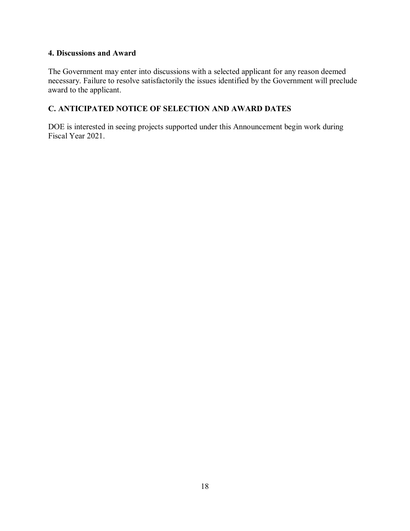## **4. Discussions and Award**

The Government may enter into discussions with a selected applicant for any reason deemed necessary. Failure to resolve satisfactorily the issues identified by the Government will preclude award to the applicant.

# <span id="page-20-0"></span>**C. ANTICIPATED NOTICE OF SELECTION AND AWARD DATES**

DOE is interested in seeing projects supported under this Announcement begin work during Fiscal Year 2021.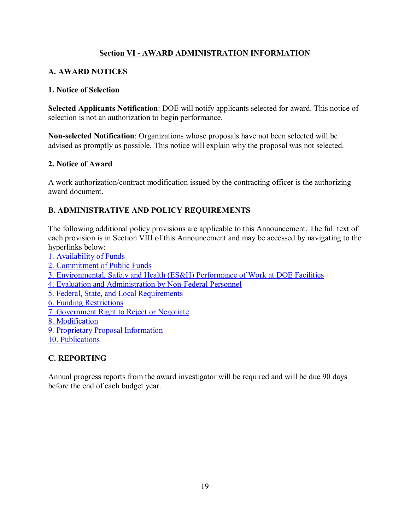# **Section VI - AWARD ADMINISTRATION INFORMATION**

# <span id="page-21-1"></span><span id="page-21-0"></span>**A. AWARD NOTICES**

## **1. Notice of Selection**

**Selected Applicants Notification**: DOE will notify applicants selected for award. This notice of selection is not an authorization to begin performance.

**Non-selected Notification**: Organizations whose proposals have not been selected will be advised as promptly as possible. This notice will explain why the proposal was not selected.

## **2. Notice of Award**

A work authorization/contract modification issued by the contracting officer is the authorizing award document.

# <span id="page-21-2"></span>**B. ADMINISTRATIVE AND POLICY REQUIREMENTS**

The following additional policy provisions are applicable to this Announcement. The full text of each provision is in Section VIII of this Announcement and may be accessed by navigating to the hyperlinks below:

- [1. Availability of Funds](#page-34-1) [2. Commitment of Public Funds](#page-35-0)
- [3. Environmental, Safety and Health \(ES&H\) Performance of Work at DOE Facilities](#page-35-1)
- [4. Evaluation and Administration by Non-Federal Personnel](#page-35-2)
- [5. Federal, State, and Local Requirements](#page-35-3)
- [6. Funding Restrictions](#page-35-4)
- [7. Government Right to Reject or Negotiate](#page-35-5)
- [8. Modification](#page-36-0)
- [9. Proprietary Proposal Information](#page-36-1)
- [10. Publications](#page-36-2)

## <span id="page-21-3"></span>**C. REPORTING**

Annual progress reports from the award investigator will be required and will be due 90 days before the end of each budget year.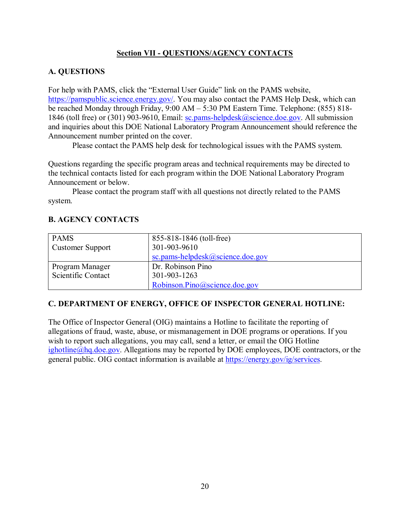# **Section VII - QUESTIONS/AGENCY CONTACTS**

# <span id="page-22-1"></span><span id="page-22-0"></span>**A. QUESTIONS**

For help with PAMS, click the "External User Guide" link on the PAMS website, [https://pamspublic.science.energy.gov/.](https://pamspublic.science.energy.gov/) You may also contact the PAMS Help Desk, which can be reached Monday through Friday, 9:00 AM – 5:30 PM Eastern Time. Telephone: (855) 818 1846 (toll free) or (301) 903-9610, Email: [sc.pams-helpdesk@science.doe.gov.](mailto:sc.pams-helpdesk@science.doe.gov) All submission and inquiries about this DOE National Laboratory Program Announcement should reference the Announcement number printed on the cover.

Please contact the PAMS help desk for technological issues with the PAMS system.

Questions regarding the specific program areas and technical requirements may be directed to the technical contacts listed for each program within the DOE National Laboratory Program Announcement or below.

Please contact the program staff with all questions not directly related to the PAMS system.

# <span id="page-22-2"></span>**B. AGENCY CONTACTS**

| <b>PAMS</b>             | 855-818-1846 (toll-free)             |
|-------------------------|--------------------------------------|
| <b>Customer Support</b> | 301-903-9610                         |
|                         | sc.pams-helpdesk $@$ science.doe.gov |
| Program Manager         | Dr. Robinson Pino                    |
| Scientific Contact      | 301-903-1263                         |
|                         | Robinson.Pino@science.doe.gov        |

# **C. DEPARTMENT OF ENERGY, OFFICE OF INSPECTOR GENERAL HOTLINE:**

The Office of Inspector General (OIG) maintains a Hotline to facilitate the reporting of allegations of fraud, waste, abuse, or mismanagement in DOE programs or operations. If you wish to report such allegations, you may call, send a letter, or email the OIG Hotline  $iphotline@hq.doc.gov. Allegations may be reported by DOE employees, DOE contracts, or the$ </u> general public. OIG contact information is available at [https://energy.gov/ig/services.](https://energy.gov/ig/services)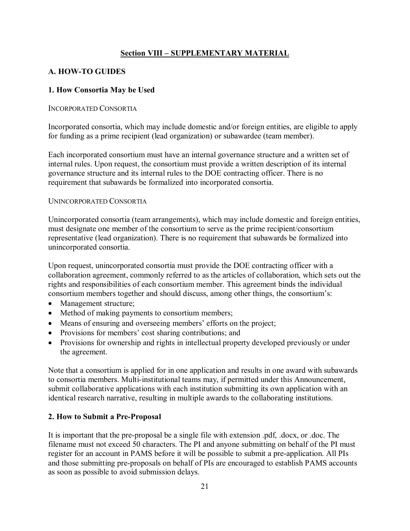# **Section VIII – SUPPLEMENTARY MATERIAL**

# <span id="page-23-1"></span><span id="page-23-0"></span>**A. HOW-TO GUIDES**

## **1. How Consortia May be Used**

#### INCORPORATED CONSORTIA

Incorporated consortia, which may include domestic and/or foreign entities, are eligible to apply for funding as a prime recipient (lead organization) or subawardee (team member).

Each incorporated consortium must have an internal governance structure and a written set of internal rules. Upon request, the consortium must provide a written description of its internal governance structure and its internal rules to the DOE contracting officer. There is no requirement that subawards be formalized into incorporated consortia.

#### UNINCORPORATED CONSORTIA

Unincorporated consortia (team arrangements), which may include domestic and foreign entities, must designate one member of the consortium to serve as the prime recipient/consortium representative (lead organization). There is no requirement that subawards be formalized into unincorporated consortia.

Upon request, unincorporated consortia must provide the DOE contracting officer with a collaboration agreement, commonly referred to as the articles of collaboration, which sets out the rights and responsibilities of each consortium member. This agreement binds the individual consortium members together and should discuss, among other things, the consortium's:

- Management structure;
- Method of making payments to consortium members;
- Means of ensuring and overseeing members' efforts on the project;
- Provisions for members' cost sharing contributions; and
- Provisions for ownership and rights in intellectual property developed previously or under the agreement.

Note that a consortium is applied for in one application and results in one award with subawards to consortia members. Multi-institutional teams may, if permitted under this Announcement, submit collaborative applications with each institution submitting its own application with an identical research narrative, resulting in multiple awards to the collaborating institutions.

#### **2. How to Submit a Pre-Proposal**

It is important that the pre-proposal be a single file with extension .pdf, .docx, or .doc. The filename must not exceed 50 characters. The PI and anyone submitting on behalf of the PI must register for an account in PAMS before it will be possible to submit a pre-application. All PIs and those submitting pre-proposals on behalf of PIs are encouraged to establish PAMS accounts as soon as possible to avoid submission delays.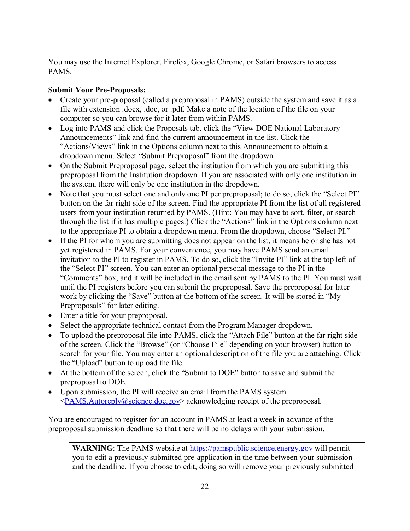You may use the Internet Explorer, Firefox, Google Chrome, or Safari browsers to access PAMS.

# **Submit Your Pre-Proposals:**

- Create your pre-proposal (called a preproposal in PAMS) outside the system and save it as a file with extension .docx, .doc, or .pdf. Make a note of the location of the file on your computer so you can browse for it later from within PAMS.
- Log into PAMS and click the Proposals tab. click the "View DOE National Laboratory" Announcements" link and find the current announcement in the list. Click the "Actions/Views" link in the Options column next to this Announcement to obtain a dropdown menu. Select "Submit Preproposal" from the dropdown.
- On the Submit Preproposal page, select the institution from which you are submitting this preproposal from the Institution dropdown. If you are associated with only one institution in the system, there will only be one institution in the dropdown.
- Note that you must select one and only one PI per preproposal; to do so, click the "Select PI" button on the far right side of the screen. Find the appropriate PI from the list of all registered users from your institution returned by PAMS. (Hint: You may have to sort, filter, or search through the list if it has multiple pages.) Click the "Actions" link in the Options column next to the appropriate PI to obtain a dropdown menu. From the dropdown, choose "Select PI."
- If the PI for whom you are submitting does not appear on the list, it means he or she has not yet registered in PAMS. For your convenience, you may have PAMS send an email invitation to the PI to register in PAMS. To do so, click the "Invite PI" link at the top left of the "Select PI" screen. You can enter an optional personal message to the PI in the "Comments" box, and it will be included in the email sent by PAMS to the PI. You must wait until the PI registers before you can submit the preproposal. Save the preproposal for later work by clicking the "Save" button at the bottom of the screen. It will be stored in "My Preproposals" for later editing.
- Enter a title for your preproposal.
- Select the appropriate technical contact from the Program Manager dropdown.
- To upload the preproposal file into PAMS, click the "Attach File" button at the far right side of the screen. Click the "Browse" (or "Choose File" depending on your browser) button to search for your file. You may enter an optional description of the file you are attaching. Click the "Upload" button to upload the file.
- At the bottom of the screen, click the "Submit to DOE" button to save and submit the preproposal to DOE.
- Upon submission, the PI will receive an email from the PAMS system [<PAMS.Autoreply@science.doe.gov>](mailto:PAMS.Autoreply@science.doe.gov) acknowledging receipt of the preproposal.

You are encouraged to register for an account in PAMS at least a week in advance of the preproposal submission deadline so that there will be no delays with your submission.

**WARNING**: The PAMS website at [https://pamspublic.science.energy.gov](https://pamspublic.science.energy.gov/) will permit you to edit a previously submitted pre-application in the time between your submission and the deadline. If you choose to edit, doing so will remove your previously submitted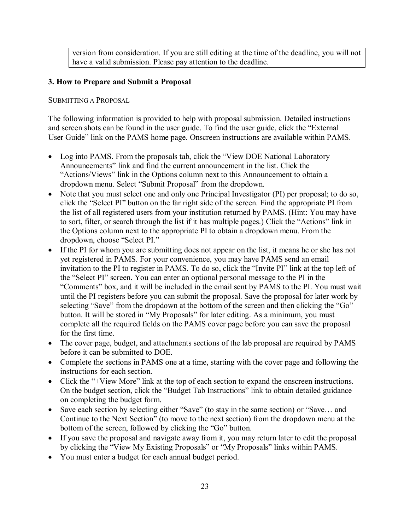version from consideration. If you are still editing at the time of the deadline, you will not have a valid submission. Please pay attention to the deadline.

#### **3. How to Prepare and Submit a Proposal**

SUBMITTING A PROPOSAL

The following information is provided to help with proposal submission. Detailed instructions and screen shots can be found in the user guide. To find the user guide, click the "External User Guide" link on the PAMS home page. Onscreen instructions are available within PAMS.

- Log into PAMS. From the proposals tab, click the "View DOE National Laboratory Announcements" link and find the current announcement in the list. Click the "Actions/Views" link in the Options column next to this Announcement to obtain a dropdown menu. Select "Submit Proposal" from the dropdown.
- Note that you must select one and only one Principal Investigator (PI) per proposal; to do so, click the "Select PI" button on the far right side of the screen. Find the appropriate PI from the list of all registered users from your institution returned by PAMS. (Hint: You may have to sort, filter, or search through the list if it has multiple pages.) Click the "Actions" link in the Options column next to the appropriate PI to obtain a dropdown menu. From the dropdown, choose "Select PI."
- If the PI for whom you are submitting does not appear on the list, it means he or she has not yet registered in PAMS. For your convenience, you may have PAMS send an email invitation to the PI to register in PAMS. To do so, click the "Invite PI" link at the top left of the "Select PI" screen. You can enter an optional personal message to the PI in the "Comments" box, and it will be included in the email sent by PAMS to the PI. You must wait until the PI registers before you can submit the proposal. Save the proposal for later work by selecting "Save" from the dropdown at the bottom of the screen and then clicking the "Go" button. It will be stored in "My Proposals" for later editing. As a minimum, you must complete all the required fields on the PAMS cover page before you can save the proposal for the first time.
- The cover page, budget, and attachments sections of the lab proposal are required by PAMS before it can be submitted to DOE.
- Complete the sections in PAMS one at a time, starting with the cover page and following the instructions for each section.
- Click the "+View More" link at the top of each section to expand the onscreen instructions. On the budget section, click the "Budget Tab Instructions" link to obtain detailed guidance on completing the budget form.
- Save each section by selecting either "Save" (to stay in the same section) or "Save... and Continue to the Next Section" (to move to the next section) from the dropdown menu at the bottom of the screen, followed by clicking the "Go" button.
- If you save the proposal and navigate away from it, you may return later to edit the proposal by clicking the "View My Existing Proposals" or "My Proposals" links within PAMS.
- You must enter a budget for each annual budget period.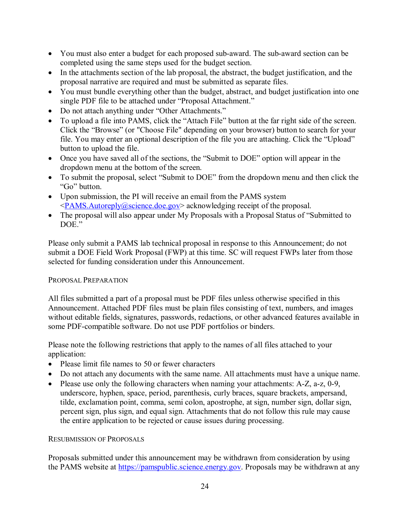- You must also enter a budget for each proposed sub-award. The sub-award section can be completed using the same steps used for the budget section.
- In the attachments section of the lab proposal, the abstract, the budget justification, and the proposal narrative are required and must be submitted as separate files.
- You must bundle everything other than the budget, abstract, and budget justification into one single PDF file to be attached under "Proposal Attachment."
- Do not attach anything under "Other Attachments."
- To upload a file into PAMS, click the "Attach File" button at the far right side of the screen. Click the "Browse" (or "Choose File" depending on your browser) button to search for your file. You may enter an optional description of the file you are attaching. Click the "Upload" button to upload the file.
- Once you have saved all of the sections, the "Submit to DOE" option will appear in the dropdown menu at the bottom of the screen.
- To submit the proposal, select "Submit to DOE" from the dropdown menu and then click the "Go" button.
- Upon submission, the PI will receive an email from the PAMS system [<PAMS.Autoreply@science.doe.gov>](mailto:PAMS.Autoreply@science.doe.gov) acknowledging receipt of the proposal.
- The proposal will also appear under My Proposals with a Proposal Status of "Submitted to DOE."

Please only submit a PAMS lab technical proposal in response to this Announcement; do not submit a DOE Field Work Proposal (FWP) at this time. SC will request FWPs later from those selected for funding consideration under this Announcement.

#### PROPOSAL PREPARATION

All files submitted a part of a proposal must be PDF files unless otherwise specified in this Announcement. Attached PDF files must be plain files consisting of text, numbers, and images without editable fields, signatures, passwords, redactions, or other advanced features available in some PDF-compatible software. Do not use PDF portfolios or binders.

Please note the following restrictions that apply to the names of all files attached to your application:

- Please limit file names to 50 or fewer characters
- Do not attach any documents with the same name. All attachments must have a unique name.
- Please use only the following characters when naming your attachments: A-Z, a-z, 0-9, underscore, hyphen, space, period, parenthesis, curly braces, square brackets, ampersand, tilde, exclamation point, comma, semi colon, apostrophe, at sign, number sign, dollar sign, percent sign, plus sign, and equal sign. Attachments that do not follow this rule may cause the entire application to be rejected or cause issues during processing.

#### RESUBMISSION OF PROPOSALS

Proposals submitted under this announcement may be withdrawn from consideration by using the PAMS website at [https://pamspublic.science.energy.gov.](https://pamspublic.science.energy.gov/) Proposals may be withdrawn at any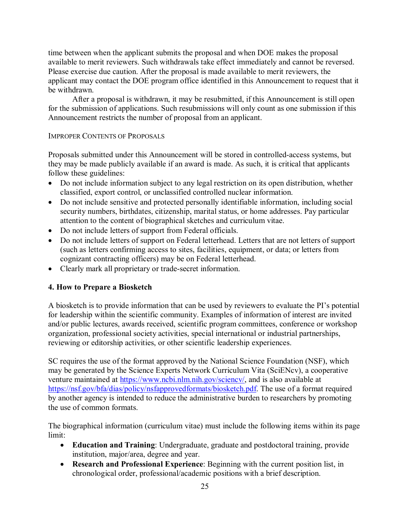time between when the applicant submits the proposal and when DOE makes the proposal available to merit reviewers. Such withdrawals take effect immediately and cannot be reversed. Please exercise due caution. After the proposal is made available to merit reviewers, the applicant may contact the DOE program office identified in this Announcement to request that it be withdrawn.

After a proposal is withdrawn, it may be resubmitted, if this Announcement is still open for the submission of applications. Such resubmissions will only count as one submission if this Announcement restricts the number of proposal from an applicant.

#### IMPROPER CONTENTS OF PROPOSALS

Proposals submitted under this Announcement will be stored in controlled-access systems, but they may be made publicly available if an award is made. As such, it is critical that applicants follow these guidelines:

- Do not include information subject to any legal restriction on its open distribution, whether classified, export control, or unclassified controlled nuclear information.
- Do not include sensitive and protected personally identifiable information, including social security numbers, birthdates, citizenship, marital status, or home addresses. Pay particular attention to the content of biographical sketches and curriculum vitae.
- Do not include letters of support from Federal officials.
- Do not include letters of support on Federal letterhead. Letters that are not letters of support (such as letters confirming access to sites, facilities, equipment, or data; or letters from cognizant contracting officers) may be on Federal letterhead.
- Clearly mark all proprietary or trade-secret information.

#### <span id="page-27-0"></span>**4. How to Prepare a Biosketch**

A biosketch is to provide information that can be used by reviewers to evaluate the PI's potential for leadership within the scientific community. Examples of information of interest are invited and/or public lectures, awards received, scientific program committees, conference or workshop organization, professional society activities, special international or industrial partnerships, reviewing or editorship activities, or other scientific leadership experiences.

SC requires the use of the format approved by the National Science Foundation (NSF), which may be generated by the Science Experts Network Curriculum Vita (SciENcv), a cooperative venture maintained at [https://www.ncbi.nlm.nih.gov/sciencv/,](https://www.ncbi.nlm.nih.gov/sciencv/) and is also available at [https://nsf.gov/bfa/dias/policy/nsfapprovedformats/biosketch.pdf.](https://nsf.gov/bfa/dias/policy/nsfapprovedformats/biosketch.pdf) The use of a format required by another agency is intended to reduce the administrative burden to researchers by promoting the use of common formats.

The biographical information (curriculum vitae) must include the following items within its page limit:

- **Education and Training**: Undergraduate, graduate and postdoctoral training, provide institution, major/area, degree and year.
- **Research and Professional Experience**: Beginning with the current position list, in chronological order, professional/academic positions with a brief description.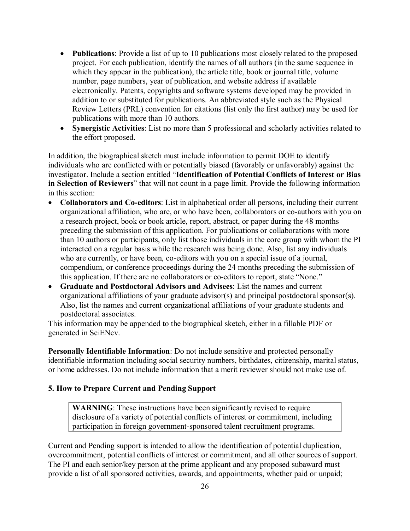- **Publications**: Provide a list of up to 10 publications most closely related to the proposed project. For each publication, identify the names of all authors (in the same sequence in which they appear in the publication), the article title, book or journal title, volume number, page numbers, year of publication, and website address if available electronically. Patents, copyrights and software systems developed may be provided in addition to or substituted for publications. An abbreviated style such as the Physical Review Letters (PRL) convention for citations (list only the first author) may be used for publications with more than 10 authors.
- **Synergistic Activities**: List no more than 5 professional and scholarly activities related to the effort proposed.

In addition, the biographical sketch must include information to permit DOE to identify individuals who are conflicted with or potentially biased (favorably or unfavorably) against the investigator. Include a section entitled "**Identification of Potential Conflicts of Interest or Bias in Selection of Reviewers**" that will not count in a page limit. Provide the following information in this section:

- **Collaborators and Co-editors**: List in alphabetical order all persons, including their current organizational affiliation, who are, or who have been, collaborators or co-authors with you on a research project, book or book article, report, abstract, or paper during the 48 months preceding the submission of this application. For publications or collaborations with more than 10 authors or participants, only list those individuals in the core group with whom the PI interacted on a regular basis while the research was being done. Also, list any individuals who are currently, or have been, co-editors with you on a special issue of a journal, compendium, or conference proceedings during the 24 months preceding the submission of this application. If there are no collaborators or co-editors to report, state "None."
- **Graduate and Postdoctoral Advisors and Advisees**: List the names and current organizational affiliations of your graduate advisor(s) and principal postdoctoral sponsor(s). Also, list the names and current organizational affiliations of your graduate students and postdoctoral associates.

This information may be appended to the biographical sketch, either in a fillable PDF or generated in SciENcv.

**Personally Identifiable Information**: Do not include sensitive and protected personally identifiable information including social security numbers, birthdates, citizenship, marital status, or home addresses. Do not include information that a merit reviewer should not make use of.

#### <span id="page-28-0"></span>**5. How to Prepare Current and Pending Support**

**WARNING**: These instructions have been significantly revised to require disclosure of a variety of potential conflicts of interest or commitment, including participation in foreign government-sponsored talent recruitment programs.

Current and Pending support is intended to allow the identification of potential duplication, overcommitment, potential conflicts of interest or commitment, and all other sources of support. The PI and each senior/key person at the prime applicant and any proposed subaward must provide a list of all sponsored activities, awards, and appointments, whether paid or unpaid;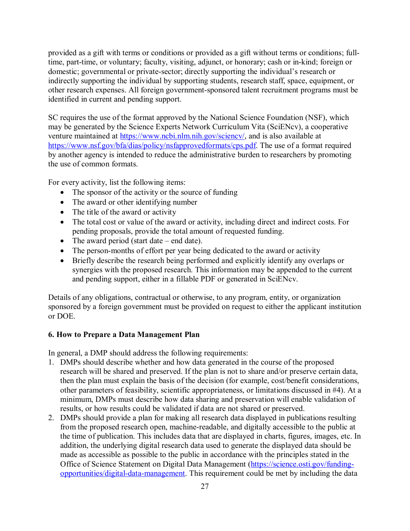provided as a gift with terms or conditions or provided as a gift without terms or conditions; fulltime, part-time, or voluntary; faculty, visiting, adjunct, or honorary; cash or in-kind; foreign or domestic; governmental or private-sector; directly supporting the individual's research or indirectly supporting the individual by supporting students, research staff, space, equipment, or other research expenses. All foreign government-sponsored talent recruitment programs must be identified in current and pending support.

SC requires the use of the format approved by the National Science Foundation (NSF), which may be generated by the Science Experts Network Curriculum Vita (SciENcv), a cooperative venture maintained at [https://www.ncbi.nlm.nih.gov/sciencv/,](https://www.ncbi.nlm.nih.gov/sciencv/) and is also available at [https://www.nsf.gov/bfa/dias/policy/nsfapprovedformats/cps.pdf.](https://www.nsf.gov/bfa/dias/policy/nsfapprovedformats/cps.pdf) The use of a format required by another agency is intended to reduce the administrative burden to researchers by promoting the use of common formats.

For every activity, list the following items:

- The sponsor of the activity or the source of funding
- The award or other identifying number
- The title of the award or activity
- The total cost or value of the award or activity, including direct and indirect costs. For pending proposals, provide the total amount of requested funding.
- The award period (start date end date).
- The person-months of effort per year being dedicated to the award or activity
- Briefly describe the research being performed and explicitly identify any overlaps or synergies with the proposed research. This information may be appended to the current and pending support, either in a fillable PDF or generated in SciENcv.

Details of any obligations, contractual or otherwise, to any program, entity, or organization sponsored by a foreign government must be provided on request to either the applicant institution or DOE.

#### <span id="page-29-0"></span>**6. How to Prepare a Data Management Plan**

In general, a DMP should address the following requirements:

- 1. DMPs should describe whether and how data generated in the course of the proposed research will be [shared](https://cms1.sc.osti.gov/funding-opportunities/digital-data-management/#Sharing) and [preserved.](https://cms1.sc.osti.gov/funding-opportunities/digital-data-management/#Preservation) If the plan is not to share and/or preserve certain data, then the plan must explain the basis of the decision (for example, cost/benefit considerations, other parameters of feasibility, scientific appropriateness, or limitations discussed in #4). At a minimum, DMPs must describe how data sharing and preservation will enable [validation](https://cms1.sc.osti.gov/funding-opportunities/digital-data-management/#Validate) of results, or how results could be validated if data are not shared or preserved.
- 2. DMPs should provide a plan for making all research data displayed in publications resulting from the proposed research open, machine-readable, and digitally accessible to the public at the time of publication. This includes data that are displayed in charts, figures, images, etc. In addition, the underlying digital research data used to generate the displayed data should be made as accessible as possible to the public in accordance with the principles stated in the Office of Science Statement on Digital Data Management [\(https://science.osti.gov/funding](https://science.osti.gov/funding-opportunities/digital-data-management)[opportunities/digital-data-management.](https://science.osti.gov/funding-opportunities/digital-data-management) This requirement could be met by including the data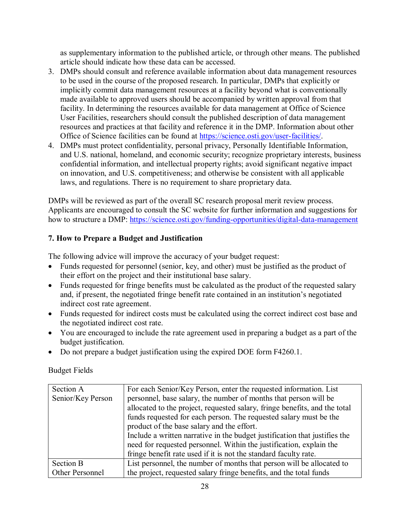as supplementary information to the published article, or through other means. The published article should indicate how these data can be accessed.

- 3. DMPs should consult and reference available information about data management resources to be used in the course of the proposed research. In particular, DMPs that explicitly or implicitly commit data management resources at a facility beyond what is conventionally made available to approved users should be accompanied by written approval from that facility. In determining the resources available for data management at Office of Science User Facilities, researchers should consult the published description of data management resources and practices at that facility and reference it in the DMP. Information about other Office of Science facilities can be found at [https://science.osti.gov/user-facilities/.](https://science.osti.gov/user-facilities/)
- 4. DMPs must protect confidentiality, personal privacy, [Personally Identifiable Information,](https://cms1.sc.osti.gov/funding-opportunities/digital-data-management/faqs/#HSRFAQ) and U.S. national, homeland, and economic security; recognize proprietary interests, business confidential information, and intellectual property rights; avoid significant negative impact on innovation, and U.S. competitiveness; and otherwise be consistent with all applicable laws, and regulations. There is no requirement to share proprietary data.

DMPs will be reviewed as part of the overall SC research proposal merit review process. Applicants are encouraged to consult the SC website for further information and suggestions for how to structure a DMP:<https://science.osti.gov/funding-opportunities/digital-data-management>

## **7. How to Prepare a Budget and Justification**

The following advice will improve the accuracy of your budget request:

- Funds requested for personnel (senior, key, and other) must be justified as the product of their effort on the project and their institutional base salary.
- Funds requested for fringe benefits must be calculated as the product of the requested salary and, if present, the negotiated fringe benefit rate contained in an institution's negotiated indirect cost rate agreement.
- Funds requested for indirect costs must be calculated using the correct indirect cost base and the negotiated indirect cost rate.
- You are encouraged to include the rate agreement used in preparing a budget as a part of the budget justification.
- Do not prepare a budget justification using the expired DOE form F4260.1.

Budget Fields

| Section A         | For each Senior/Key Person, enter the requested information. List          |
|-------------------|----------------------------------------------------------------------------|
| Senior/Key Person | personnel, base salary, the number of months that person will be           |
|                   | allocated to the project, requested salary, fringe benefits, and the total |
|                   | funds requested for each person. The requested salary must be the          |
|                   | product of the base salary and the effort.                                 |
|                   | Include a written narrative in the budget justification that justifies the |
|                   | need for requested personnel. Within the justification, explain the        |
|                   | fringe benefit rate used if it is not the standard faculty rate.           |
| Section B         | List personnel, the number of months that person will be allocated to      |
| Other Personnel   | the project, requested salary fringe benefits, and the total funds         |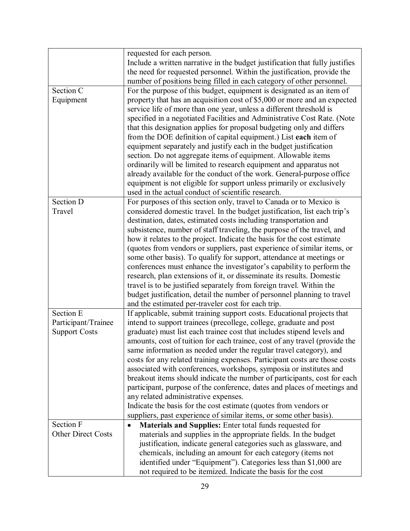|                           | requested for each person.                                                   |
|---------------------------|------------------------------------------------------------------------------|
|                           | Include a written narrative in the budget justification that fully justifies |
|                           | the need for requested personnel. Within the justification, provide the      |
|                           | number of positions being filled in each category of other personnel.        |
| Section C                 | For the purpose of this budget, equipment is designated as an item of        |
| Equipment                 | property that has an acquisition cost of \$5,000 or more and an expected     |
|                           | service life of more than one year, unless a different threshold is          |
|                           | specified in a negotiated Facilities and Administrative Cost Rate. (Note     |
|                           | that this designation applies for proposal budgeting only and differs        |
|                           | from the DOE definition of capital equipment.) List each item of             |
|                           | equipment separately and justify each in the budget justification            |
|                           | section. Do not aggregate items of equipment. Allowable items                |
|                           | ordinarily will be limited to research equipment and apparatus not           |
|                           | already available for the conduct of the work. General-purpose office        |
|                           | equipment is not eligible for support unless primarily or exclusively        |
|                           | used in the actual conduct of scientific research.                           |
| Section D                 | For purposes of this section only, travel to Canada or to Mexico is          |
| Travel                    | considered domestic travel. In the budget justification, list each trip's    |
|                           | destination, dates, estimated costs including transportation and             |
|                           | subsistence, number of staff traveling, the purpose of the travel, and       |
|                           | how it relates to the project. Indicate the basis for the cost estimate      |
|                           | (quotes from vendors or suppliers, past experience of similar items, or      |
|                           | some other basis). To qualify for support, attendance at meetings or         |
|                           | conferences must enhance the investigator's capability to perform the        |
|                           | research, plan extensions of it, or disseminate its results. Domestic        |
|                           | travel is to be justified separately from foreign travel. Within the         |
|                           | budget justification, detail the number of personnel planning to travel      |
|                           | and the estimated per-traveler cost for each trip.                           |
| Section E                 | If applicable, submit training support costs. Educational projects that      |
| Participant/Trainee       | intend to support trainees (precollege, college, graduate and post           |
| <b>Support Costs</b>      | graduate) must list each trainee cost that includes stipend levels and       |
|                           | amounts, cost of tuition for each trainee, cost of any travel (provide the   |
|                           | same information as needed under the regular travel category), and           |
|                           | costs for any related training expenses. Participant costs are those costs   |
|                           | associated with conferences, workshops, symposia or institutes and           |
|                           | breakout items should indicate the number of participants, cost for each     |
|                           | participant, purpose of the conference, dates and places of meetings and     |
|                           | any related administrative expenses.                                         |
|                           | Indicate the basis for the cost estimate (quotes from vendors or             |
|                           | suppliers, past experience of similar items, or some other basis).           |
| Section F                 | Materials and Supplies: Enter total funds requested for<br>٠                 |
| <b>Other Direct Costs</b> | materials and supplies in the appropriate fields. In the budget              |
|                           | justification, indicate general categories such as glassware, and            |
|                           | chemicals, including an amount for each category (items not                  |
|                           | identified under "Equipment"). Categories less than \$1,000 are              |
|                           | not required to be itemized. Indicate the basis for the cost                 |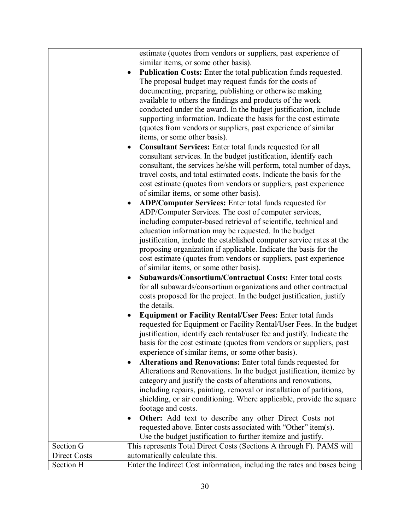|              | estimate (quotes from vendors or suppliers, past experience of<br>similar items, or some other basis).      |
|--------------|-------------------------------------------------------------------------------------------------------------|
|              | Publication Costs: Enter the total publication funds requested.                                             |
|              | ٠                                                                                                           |
|              | The proposal budget may request funds for the costs of                                                      |
|              | documenting, preparing, publishing or otherwise making                                                      |
|              | available to others the findings and products of the work                                                   |
|              | conducted under the award. In the budget justification, include                                             |
|              | supporting information. Indicate the basis for the cost estimate                                            |
|              | (quotes from vendors or suppliers, past experience of similar                                               |
|              | items, or some other basis).                                                                                |
|              | <b>Consultant Services:</b> Enter total funds requested for all<br>٠                                        |
|              | consultant services. In the budget justification, identify each                                             |
|              | consultant, the services he/she will perform, total number of days,                                         |
|              | travel costs, and total estimated costs. Indicate the basis for the                                         |
|              | cost estimate (quotes from vendors or suppliers, past experience<br>of similar items, or some other basis). |
|              | ADP/Computer Services: Enter total funds requested for<br>٠                                                 |
|              | ADP/Computer Services. The cost of computer services,                                                       |
|              | including computer-based retrieval of scientific, technical and                                             |
|              | education information may be requested. In the budget                                                       |
|              | justification, include the established computer service rates at the                                        |
|              | proposing organization if applicable. Indicate the basis for the                                            |
|              | cost estimate (quotes from vendors or suppliers, past experience                                            |
|              | of similar items, or some other basis).                                                                     |
|              | Subawards/Consortium/Contractual Costs: Enter total costs<br>$\bullet$                                      |
|              | for all subawards/consortium organizations and other contractual                                            |
|              | costs proposed for the project. In the budget justification, justify                                        |
|              | the details.                                                                                                |
|              | <b>Equipment or Facility Rental/User Fees: Enter total funds</b>                                            |
|              | requested for Equipment or Facility Rental/User Fees. In the budget                                         |
|              | justification, identify each rental/user fee and justify. Indicate the                                      |
|              | basis for the cost estimate (quotes from vendors or suppliers, past                                         |
|              | experience of similar items, or some other basis).                                                          |
|              | Alterations and Renovations: Enter total funds requested for<br>٠                                           |
|              | Alterations and Renovations. In the budget justification, itemize by                                        |
|              | category and justify the costs of alterations and renovations,                                              |
|              | including repairs, painting, removal or installation of partitions,                                         |
|              | shielding, or air conditioning. Where applicable, provide the square                                        |
|              | footage and costs.                                                                                          |
|              | <b>Other:</b> Add text to describe any other Direct Costs not<br>٠                                          |
|              | requested above. Enter costs associated with "Other" item(s).                                               |
|              | Use the budget justification to further itemize and justify.                                                |
| Section G    | This represents Total Direct Costs (Sections A through F). PAMS will                                        |
| Direct Costs | automatically calculate this.                                                                               |
| Section H    | Enter the Indirect Cost information, including the rates and bases being                                    |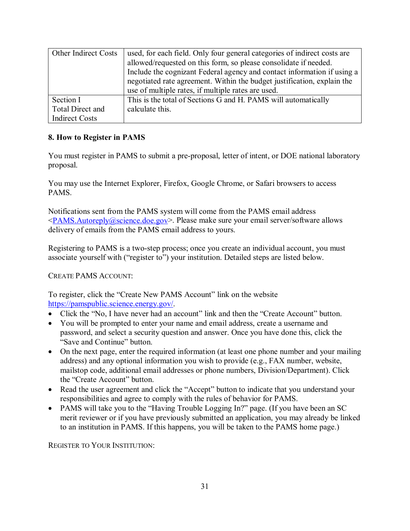| <b>Other Indirect Costs</b> | used, for each field. Only four general categories of indirect costs are |
|-----------------------------|--------------------------------------------------------------------------|
|                             | allowed/requested on this form, so please consolidate if needed.         |
|                             | Include the cognizant Federal agency and contact information if using a  |
|                             | negotiated rate agreement. Within the budget justification, explain the  |
|                             | use of multiple rates, if multiple rates are used.                       |
| Section I                   | This is the total of Sections G and H. PAMS will automatically           |
| Total Direct and            | calculate this.                                                          |
| <b>Indirect Costs</b>       |                                                                          |

## **8. How to Register in PAMS**

You must register in PAMS to submit a pre-proposal, letter of intent, or DOE national laboratory proposal.

You may use the Internet Explorer, Firefox, Google Chrome, or Safari browsers to access PAMS.

Notifications sent from the PAMS system will come from the PAMS email address  $\leq$ PAMS.Autoreply@science.doe.gov>. Please make sure your email server/software allows delivery of emails from the PAMS email address to yours.

Registering to PAMS is a two-step process; once you create an individual account, you must associate yourself with ("register to") your institution. Detailed steps are listed below.

#### CREATE PAMS ACCOUNT:

To register, click the "Create New PAMS Account" link on the website [https://pamspublic.science.energy.gov/.](https://pamspublic.science.energy.gov/)

- Click the "No, I have never had an account" link and then the "Create Account" button.
- You will be prompted to enter your name and email address, create a username and password, and select a security question and answer. Once you have done this, click the "Save and Continue" button.
- On the next page, enter the required information (at least one phone number and your mailing address) and any optional information you wish to provide (e.g., FAX number, website, mailstop code, additional email addresses or phone numbers, Division/Department). Click the "Create Account" button.
- Read the user agreement and click the "Accept" button to indicate that you understand your responsibilities and agree to comply with the rules of behavior for PAMS.
- PAMS will take you to the "Having Trouble Logging In?" page. (If you have been an SC merit reviewer or if you have previously submitted an application, you may already be linked to an institution in PAMS. If this happens, you will be taken to the PAMS home page.)

REGISTER TO YOUR INSTITUTION: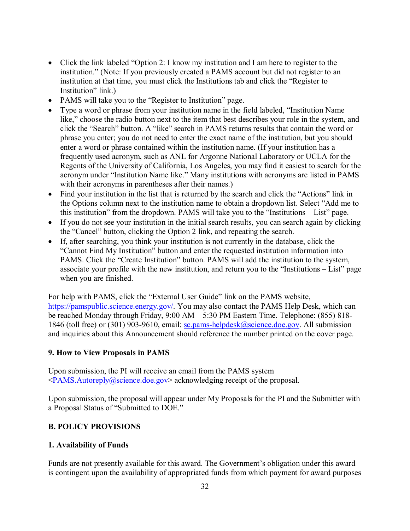- Click the link labeled "Option 2: I know my institution and I am here to register to the institution." (Note: If you previously created a PAMS account but did not register to an institution at that time, you must click the Institutions tab and click the "Register to Institution" link.)
- PAMS will take you to the "Register to Institution" page.
- Type a word or phrase from your institution name in the field labeled, "Institution Name like," choose the radio button next to the item that best describes your role in the system, and click the "Search" button. A "like" search in PAMS returns results that contain the word or phrase you enter; you do not need to enter the exact name of the institution, but you should enter a word or phrase contained within the institution name. (If your institution has a frequently used acronym, such as ANL for Argonne National Laboratory or UCLA for the Regents of the University of California, Los Angeles, you may find it easiest to search for the acronym under "Institution Name like." Many institutions with acronyms are listed in PAMS with their acronyms in parentheses after their names.)
- Find your institution in the list that is returned by the search and click the "Actions" link in the Options column next to the institution name to obtain a dropdown list. Select "Add me to this institution" from the dropdown. PAMS will take you to the "Institutions – List" page.
- If you do not see your institution in the initial search results, you can search again by clicking the "Cancel" button, clicking the Option 2 link, and repeating the search.
- If, after searching, you think your institution is not currently in the database, click the "Cannot Find My Institution" button and enter the requested institution information into PAMS. Click the "Create Institution" button. PAMS will add the institution to the system, associate your profile with the new institution, and return you to the "Institutions – List" page when you are finished.

For help with PAMS, click the "External User Guide" link on the PAMS website, [https://pamspublic.science.energy.gov/.](https://pamspublic.science.energy.gov/) You may also contact the PAMS Help Desk, which can be reached Monday through Friday, 9:00 AM – 5:30 PM Eastern Time. Telephone: (855) 818 1846 (toll free) or (301) 903-9610, email: [sc.pams-helpdesk@science.doe.gov.](mailto:sc.pams-helpdesk@science.doe.gov) All submission and inquiries about this Announcement should reference the number printed on the cover page.

#### **9. How to View Proposals in PAMS**

Upon submission, the PI will receive an email from the PAMS system  $\leq$ PAMS.Autoreply@science.doe.gov> acknowledging receipt of the proposal.

Upon submission, the proposal will appear under My Proposals for the PI and the Submitter with a Proposal Status of "Submitted to DOE."

## <span id="page-34-0"></span>**B. POLICY PROVISIONS**

#### <span id="page-34-1"></span>**1. Availability of Funds**

Funds are not presently available for this award. The Government's obligation under this award is contingent upon the availability of appropriated funds from which payment for award purposes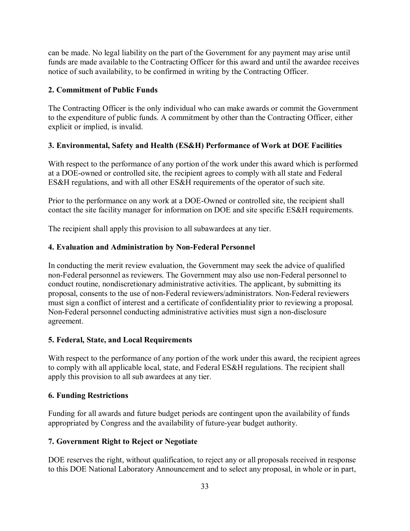can be made. No legal liability on the part of the Government for any payment may arise until funds are made available to the Contracting Officer for this award and until the awardee receives notice of such availability, to be confirmed in writing by the Contracting Officer.

## <span id="page-35-0"></span>**2. Commitment of Public Funds**

The Contracting Officer is the only individual who can make awards or commit the Government to the expenditure of public funds. A commitment by other than the Contracting Officer, either explicit or implied, is invalid.

## <span id="page-35-1"></span>**3. Environmental, Safety and Health (ES&H) Performance of Work at DOE Facilities**

With respect to the performance of any portion of the work under this award which is performed at a DOE-owned or controlled site, the recipient agrees to comply with all state and Federal ES&H regulations, and with all other ES&H requirements of the operator of such site.

Prior to the performance on any work at a DOE-Owned or controlled site, the recipient shall contact the site facility manager for information on DOE and site specific ES&H requirements.

The recipient shall apply this provision to all subawardees at any tier.

## <span id="page-35-2"></span>**4. Evaluation and Administration by Non-Federal Personnel**

In conducting the merit review evaluation, the Government may seek the advice of qualified non-Federal personnel as reviewers. The Government may also use non-Federal personnel to conduct routine, nondiscretionary administrative activities. The applicant, by submitting its proposal, consents to the use of non-Federal reviewers/administrators. Non-Federal reviewers must sign a conflict of interest and a certificate of confidentiality prior to reviewing a proposal. Non-Federal personnel conducting administrative activities must sign a non-disclosure agreement.

#### <span id="page-35-3"></span>**5. Federal, State, and Local Requirements**

With respect to the performance of any portion of the work under this award, the recipient agrees to comply with all applicable local, state, and Federal ES&H regulations. The recipient shall apply this provision to all sub awardees at any tier.

#### <span id="page-35-4"></span>**6. Funding Restrictions**

Funding for all awards and future budget periods are contingent upon the availability of funds appropriated by Congress and the availability of future-year budget authority.

#### <span id="page-35-5"></span>**7. Government Right to Reject or Negotiate**

DOE reserves the right, without qualification, to reject any or all proposals received in response to this DOE National Laboratory Announcement and to select any proposal, in whole or in part,